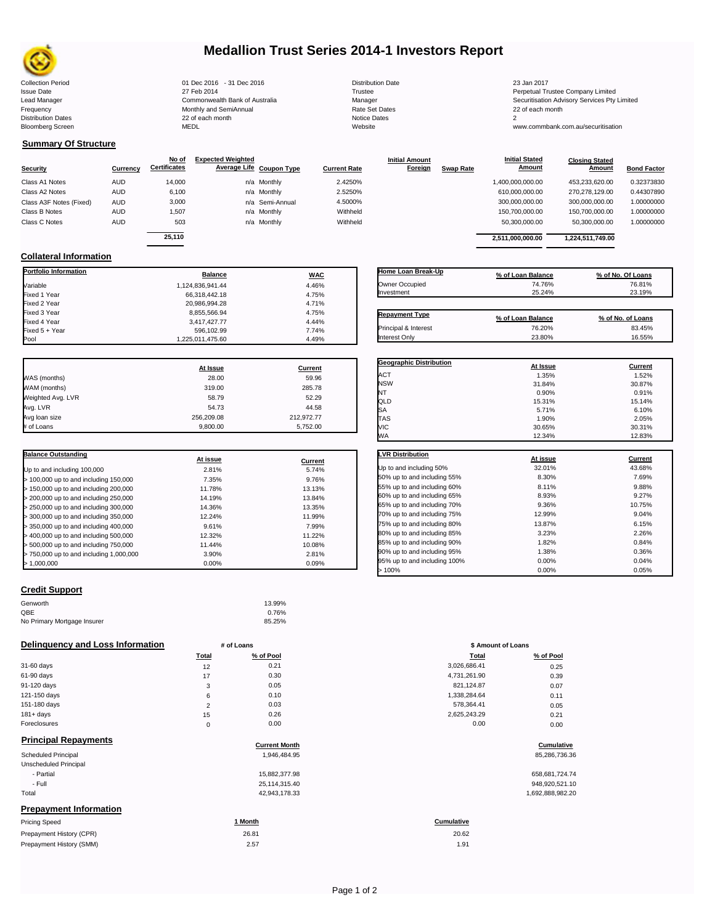

# **Medallion Trust Series 2014-1 Investors Report**

**Closing Stated Amount**

## **Summary Of Structure**

**Collateral Information**

Fixed  $5 + Y$ ear

|                         |            | No of               | <b>Expected Weighted</b> |                 |                     | <b>Initial Amount</b> |                  | <b>Initial Stated</b> | <b>Closing Stated</b> |                    |
|-------------------------|------------|---------------------|--------------------------|-----------------|---------------------|-----------------------|------------------|-----------------------|-----------------------|--------------------|
| <b>Security</b>         | Currency   | <b>Certificates</b> | Average Life Coupon Type |                 | <b>Current Rate</b> | <b>Foreign</b>        | <b>Swap Rate</b> | <b>Amount</b>         | Amount                | <b>Bond Factor</b> |
| Class A1 Notes          | <b>AUD</b> | 14.000              |                          | n/a Monthly     | 2.4250%             |                       |                  | 1,400,000,000.00      | 453.233.620.00        | 0.32373830         |
| Class A2 Notes          | <b>AUD</b> | 6,100               |                          | n/a Monthly     | 2.5250%             |                       |                  | 610,000,000.00        | 270.278.129.00        | 0.44307890         |
| Class A3F Notes (Fixed) | <b>AUD</b> | 3,000               |                          | n/a Semi-Annual | 4.5000%             |                       |                  | 300,000,000.00        | 300.000.000.00        | 1.00000000         |
| Class B Notes           | AUD        | 1.507               |                          | n/a Monthly     | Withheld            |                       |                  | 150,700,000.00        | 150.700.000.00        | 1.00000000         |
| Class C Notes           | <b>AUD</b> | 503                 |                          | n/a Monthly     | Withheld            |                       |                  | 50,300,000.00         | 50,300,000.00         | 1.00000000         |
|                         |            | 25.110              |                          |                 |                     |                       |                  |                       |                       |                    |
|                         |            |                     |                          |                 |                     |                       |                  | 2.511.000.000.00      | 1,224,511,749.00      |                    |

**Portfolio Information Balance WAC** Variable 1,124,836,941.44 4.46% Fixed 1 Year 66,318,442.18 4.75% Fixed 2 Year 20,986,994.28 4.71% Fixed 3 Year 8,855,566.94 5.855,566.94 5.855,566.94 5.85% 4.75% 5.868.94 5.868.94 5.868.94 5.868.94 5.868.94 5<br>المساجد المستخدم المستخدم المستخدم المستخدم المستخدم المستخدم المستخدم المستخدم المستخدم المستخدم المستخدم الم

| Home Loan Break-Up    | % of Loan Balance           | % of No. Of Loans |
|-----------------------|-----------------------------|-------------------|
| Owner Occupied        | 74.76%                      | 76.81%            |
| Investment            | 25.24%                      | 23.19%            |
|                       |                             |                   |
| <b>Repayment Type</b> |                             | % of No. of Loans |
| Principal & Interest  | % of Loan Balance<br>76.20% | 83.45%            |

**Geographic Distribution**<br>ACT **At Issue At Issue Current**<br> $\frac{47.59\%}{1.35\%}$  **Current** 

**Initial Stated** 

| Pool              | 1,225,011,475.60 | 4.49%      |
|-------------------|------------------|------------|
|                   | At Issue         | Current    |
| WAS (months)      | 28.00            | 59.96      |
| WAM (months)      | 319.00           | 285.78     |
| Weighted Avg. LVR | 58.79            | 52.29      |
| Avg. LVR          | 54.73            | 44.58      |
| Avg loan size     | 256,209.08       | 212,972.77 |

# of Loans 9,800.00 5,752.00

3,417,427.77<br>596,102.99 7.74%

| <b>Balance Outstanding</b>              |          |         |
|-----------------------------------------|----------|---------|
|                                         | At issue | Current |
| Up to and including 100,000             | 2.81%    | 5.74%   |
| > 100,000 up to and including 150,000   | 7.35%    | 9.76%   |
| $>$ 150,000 up to and including 200,000 | 11.78%   | 13.13%  |
| > 200,000 up to and including 250,000   | 14.19%   | 13.84%  |
| > 250,000 up to and including 300,000   | 14.36%   | 13.35%  |
| > 300,000 up to and including 350,000   | 12.24%   | 11.99%  |
| > 350,000 up to and including 400,000   | 9.61%    | 7.99%   |
| $>$ 400,000 up to and including 500,000 | 12.32%   | 11.22%  |
| > 500,000 up to and including 750,000   | 11.44%   | 10.08%  |
| > 750,000 up to and including 1,000,000 | 3.90%    | 2.81%   |
| > 1.000.000                             | 0.00%    | 0.09%   |

## **Credit Support**

| Genworth                    | 13.99% |
|-----------------------------|--------|
| QBE                         | 0.76%  |
| No Primary Mortgage Insurer | 85.25% |

### **Delinquency and Loss Information # of Loans**

|              | <b>Total</b> | % of Pool | Total        | % of Pool |
|--------------|--------------|-----------|--------------|-----------|
| 31-60 days   | 12           | 0.21      | 3,026,686.41 | 0.25      |
| 61-90 days   | 17           | 0.30      | 4,731,261.90 | 0.39      |
| 91-120 days  | 3            | 0.05      | 821,124.87   | 0.07      |
| 121-150 days | 6            | 0.10      | 1,338,284.64 | 0.11      |
| 151-180 days | 2            | 0.03      | 578,364.41   | 0.05      |
| $181 + days$ | 15           | 0.26      | 2,625,243.29 | 0.21      |
| Foreclosures | 0            | 0.00      | 0.00         | 0.00      |
| _ _ _ _ _    |              |           |              |           |

Prepayment History (SMM)

| <b>Principal Repayments</b>   |                      |                   |
|-------------------------------|----------------------|-------------------|
|                               | <b>Current Month</b> | Cumulative        |
| Scheduled Principal           | 1.946.484.95         | 85,286,736.36     |
| Unscheduled Principal         |                      |                   |
| - Partial                     | 15.882.377.98        | 658,681,724.74    |
| - Full                        | 25,114,315.40        | 948,920,521.10    |
| Total                         | 42,943,178.33        | 1,692,888,982.20  |
| <b>Prepayment Information</b> |                      |                   |
| Pricing Speed                 | 1 Month              | <b>Cumulative</b> |
| Prepayment History (CPR)      | 26.81                | 20.62             |

| ACT                          | 1.35%    | 1.52%          |
|------------------------------|----------|----------------|
| <b>NSW</b>                   | 31.84%   | 30.87%         |
| NT                           | 0.90%    | 0.91%          |
| QLD                          | 15.31%   | 15.14%         |
| SA                           | 5.71%    | 6.10%          |
| <b>TAS</b>                   | 1.90%    | 2.05%          |
| <b>VIC</b>                   | 30.65%   | 30.31%         |
| WA                           | 12.34%   | 12.83%         |
|                              |          |                |
| <b>LVR Distribution</b>      | At issue | <b>Current</b> |
| Up to and including 50%      | 32.01%   | 43.68%         |
| 50% up to and including 55%  | 8.30%    | 7.69%          |
| 55% up to and including 60%  | 8.11%    | 9.88%          |
| 60% up to and including 65%  | 8.93%    | 9.27%          |
| 65% up to and including 70%  | 9.36%    | 10.75%         |
| 70% up to and including 75%  | 12.99%   | 9.04%          |
| 75% up to and including 80%  | 13.87%   | 6.15%          |
| 80% up to and including 85%  | 3.23%    | 2.26%          |
| 85% up to and including 90%  | 1.82%    | 0.84%          |
| 90% up to and including 95%  | 1.38%    | 0.36%          |
| 95% up to and including 100% | 0.00%    | 0.04%          |
| >100%                        | 0.00%    | 0.05%          |

|                | # of Loans | \$ Amount of Loans |           |  |
|----------------|------------|--------------------|-----------|--|
| Total          | % of Pool  | Total              | % of Pool |  |
| 12             | 0.21       | 3,026,686.41       | 0.25      |  |
| 17             | 0.30       | 4,731,261.90       | 0.39      |  |
| 3              | 0.05       | 821,124.87         | 0.07      |  |
| 6              | 0.10       | 1,338,284.64       | 0.11      |  |
| $\overline{2}$ | 0.03       | 578,364.41         | 0.05      |  |
| 15             | 0.26       | 2,625,243.29       | 0.21      |  |
| $\mathbf 0$    | 0.00       | 0.00               | 0.00      |  |

# **Cumulative Cumulative**

| 658.681.724.74   |
|------------------|
| 948,920,521.10   |
| 1 692 888 982 20 |

 $2.57$  1.91 20.62

Collection Period 01 Dec 2016 - 31 Dec 2016 Distribution Date 23 Jan 2017 Issue Date 2014 27 Feb 2014 27 Feb 2014<br>Isaad Manager 2015 2017 Commonwealth Bank of Australia 2016 Manager 2016 2017 2017 Securitisation Advisory Services Pty Lead Manager **Commonwealth Bank of Australia** Manager Manager Securitisation Advisory Services Pty Limited Frequency Communication Communication Monthly and SemiAnnual Communication Communication Communication Communication Communication Communication Communication Communication Communication Communication Communication Communi n and the continuum continuum continuum continuum continuum continuum continuum continuum continuum continuum c<br>
22 of each month 2<br>
MEDL Website Website Bloomberg Screen MEDL Website www.commbank.com.au/securitisation